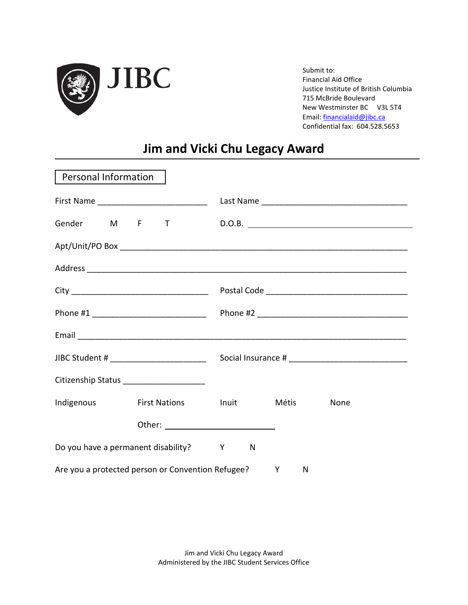

Submit to: Financial Aid Office Justice Institute of British Columbia 715 McBride Boulevard New Westminster BC V3L 5T4 Email: [financialaid@jibc.ca](mailto:financialaid@jibc.ca) Confidential fax: 604.528.5653

# **Jim and Vicki Chu Legacy Award**

| Personal Information                  |                                                     |   |   |        |  |
|---------------------------------------|-----------------------------------------------------|---|---|--------|--|
|                                       |                                                     |   |   |        |  |
|                                       | Gender M F T                                        |   |   | D.O.B. |  |
|                                       |                                                     |   |   |        |  |
|                                       |                                                     |   |   |        |  |
|                                       |                                                     |   |   |        |  |
|                                       |                                                     |   |   |        |  |
|                                       |                                                     |   |   |        |  |
|                                       |                                                     |   |   |        |  |
|                                       | Citizenship Status ______________________           |   |   |        |  |
| Indigenous                            | First Nations First Inuit Nétis                     |   |   | None   |  |
|                                       |                                                     |   |   |        |  |
| Do you have a permanent disability? Y |                                                     | N |   |        |  |
|                                       | Are you a protected person or Convention Refugee? Y |   | N |        |  |

Jim and Vicki Chu Legacy Award Administered by the JIBC Student Services Office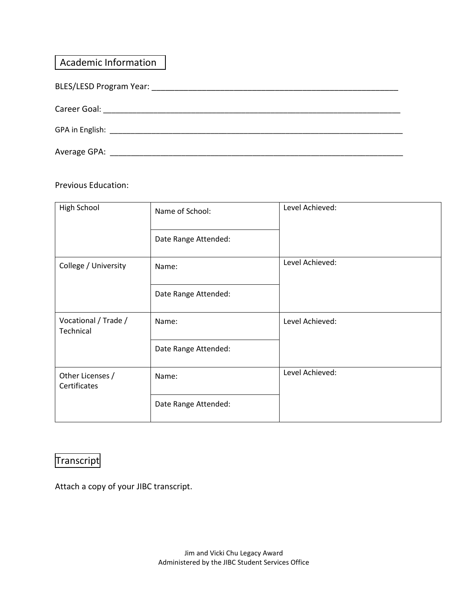| <b>Academic Information</b>      |
|----------------------------------|
|                                  |
|                                  |
|                                  |
| Average GPA: ___________________ |

#### Previous Education:

| High School                       | Name of School:<br>Date Range Attended: | Level Achieved: |
|-----------------------------------|-----------------------------------------|-----------------|
| College / University              | Name:                                   | Level Achieved: |
|                                   | Date Range Attended:                    |                 |
| Vocational / Trade /<br>Technical | Name:                                   | Level Achieved: |
|                                   | Date Range Attended:                    |                 |
| Other Licenses /<br>Certificates  | Name:                                   | Level Achieved: |
|                                   | Date Range Attended:                    |                 |

# Transcript

Attach a copy of your JIBC transcript.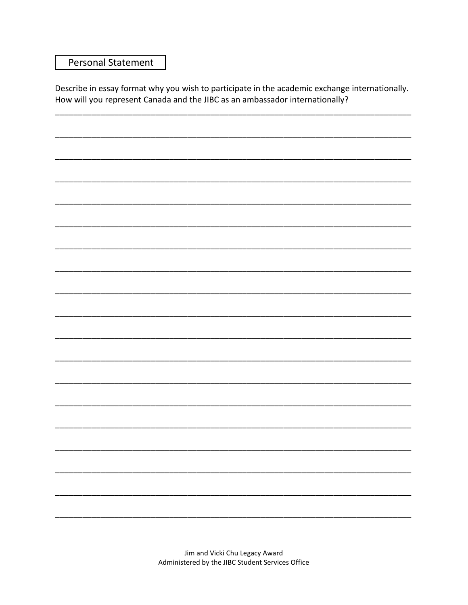### **Personal Statement**

Describe in essay format why you wish to participate in the academic exchange internationally. How will you represent Canada and the JIBC as an ambassador internationally?

> Jim and Vicki Chu Legacy Award Administered by the JIBC Student Services Office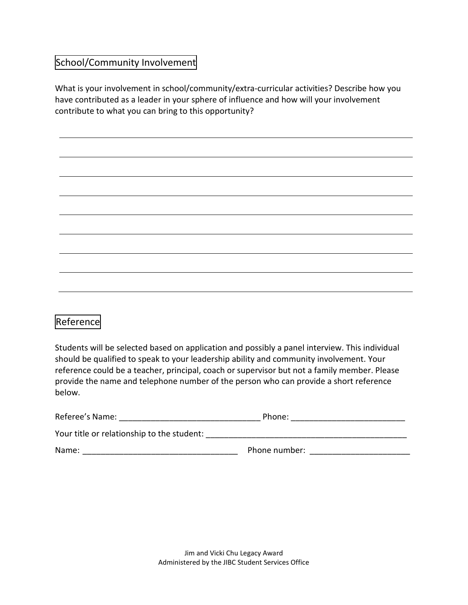### School/Community Involvement

What is your involvement in school/community/extra-curricular activities? Describe how you have contributed as a leader in your sphere of influence and how will your involvement contribute to what you can bring to this opportunity?

## Reference

Students will be selected based on application and possibly a panel interview. This individual should be qualified to speak to your leadership ability and community involvement. Your reference could be a teacher, principal, coach or supervisor but not a family member. Please provide the name and telephone number of the person who can provide a short reference below.

| Referee's Name:                            | Phone:        |  |
|--------------------------------------------|---------------|--|
| Your title or relationship to the student: |               |  |
| Name:                                      | Phone number: |  |